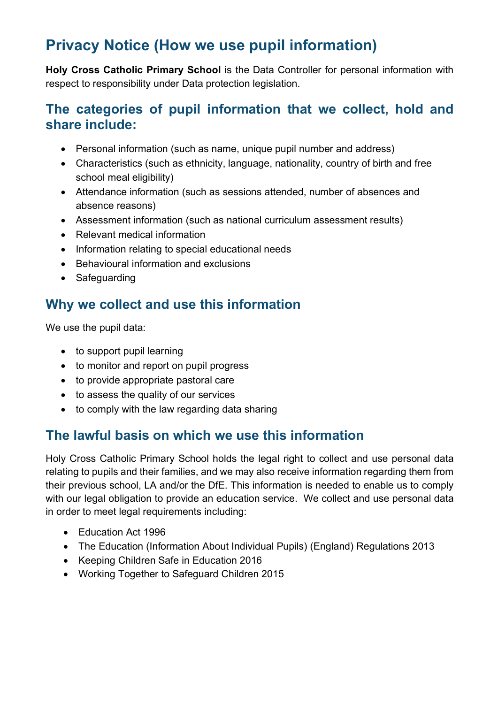# **Privacy Notice (How we use pupil information)**

**Holy Cross Catholic Primary School** is the Data Controller for personal information with respect to responsibility under Data protection legislation.

#### **The categories of pupil information that we collect, hold and share include:**

- Personal information (such as name, unique pupil number and address)
- Characteristics (such as ethnicity, language, nationality, country of birth and free school meal eligibility)
- Attendance information (such as sessions attended, number of absences and absence reasons)
- Assessment information (such as national curriculum assessment results)
- Relevant medical information
- Information relating to special educational needs
- Behavioural information and exclusions
- Safeguarding

## **Why we collect and use this information**

We use the pupil data:

- to support pupil learning
- to monitor and report on pupil progress
- to provide appropriate pastoral care
- to assess the quality of our services
- to comply with the law regarding data sharing

### **The lawful basis on which we use this information**

Holy Cross Catholic Primary School holds the legal right to collect and use personal data relating to pupils and their families, and we may also receive information regarding them from their previous school, LA and/or the DfE. This information is needed to enable us to comply with our legal obligation to provide an education service. We collect and use personal data in order to meet legal requirements including:

- Education Act 1996
- The Education (Information About Individual Pupils) (England) Regulations 2013
- Keeping Children Safe in Education 2016
- Working Together to Safeguard Children 2015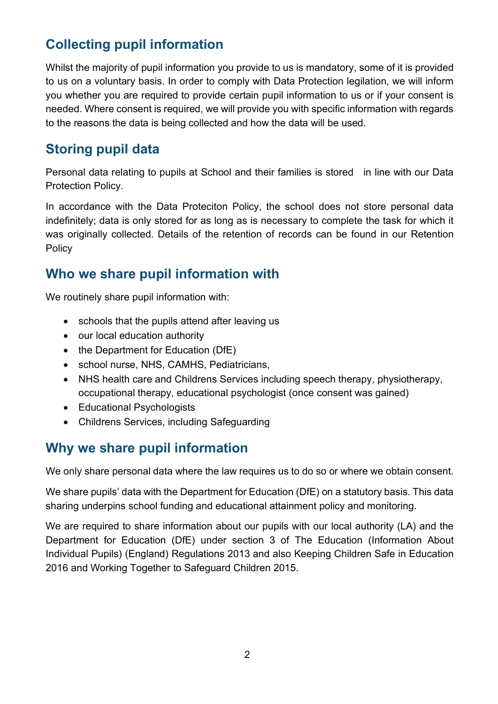## **Collecting pupil information**

Whilst the majority of pupil information you provide to us is mandatory, some of it is provided to us on a voluntary basis. In order to comply with Data Protection legilation, we will inform you whether you are required to provide certain pupil information to us or if your consent is needed. Where consent is required, we will provide you with specific information with regards to the reasons the data is being collected and how the data will be used.

## **Storing pupil data**

Personal data relating to pupils at School and their families is stored in line with our Data Protection Policy.

In accordance with the Data Proteciton Policy, the school does not store personal data indefinitely; data is only stored for as long as is necessary to complete the task for which it was originally collected. Details of the retention of records can be found in our Retention **Policy** 

#### **Who we share pupil information with**

We routinely share pupil information with:

- schools that the pupils attend after leaving us
- our local education authority
- the Department for Education (DfE)
- school nurse, NHS, CAMHS, Pediatricians,
- NHS health care and Childrens Services including speech therapy, physiotherapy, occupational therapy, educational psychologist (once consent was gained)
- Educational Psychologists
- Childrens Services, including Safeguarding

## **Why we share pupil information**

We only share personal data where the law requires us to do so or where we obtain consent.

We share pupils' data with the Department for Education (DfE) on a statutory basis. This data sharing underpins school funding and educational attainment policy and monitoring.

We are required to share information about our pupils with our local authority (LA) and the Department for Education (DfE) under section 3 of The Education (Information About Individual Pupils) (England) Regulations 2013 and also Keeping Children Safe in Education 2016 and Working Together to Safeguard Children 2015.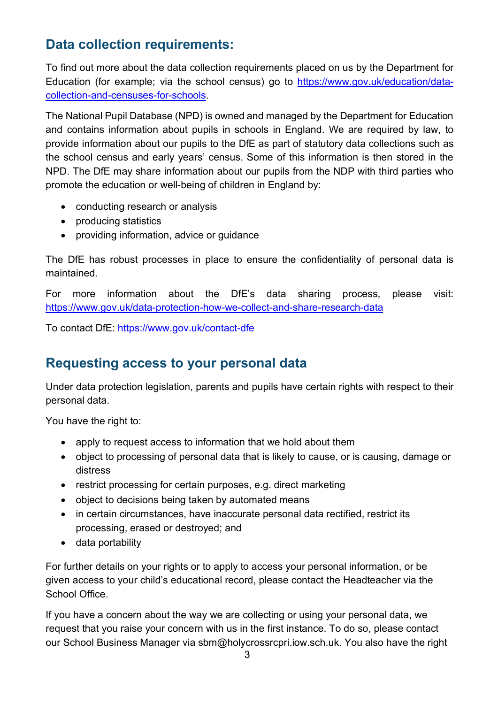## **Data collection requirements:**

To find out more about the data collection requirements placed on us by the Department for Education (for example; via the school census) go to https://www.gov.uk/education/datacollection-and-censuses-for-schools.

The National Pupil Database (NPD) is owned and managed by the Department for Education and contains information about pupils in schools in England. We are required by law, to provide information about our pupils to the DfE as part of statutory data collections such as the school census and early years' census. Some of this information is then stored in the NPD. The DfE may share information about our pupils from the NDP with third parties who promote the education or well-being of children in England by:

- conducting research or analysis
- producing statistics
- providing information, advice or guidance

The DfE has robust processes in place to ensure the confidentiality of personal data is maintained.

For more information about the DfE's data sharing process, please visit: https://www.gov.uk/data-protection-how-we-collect-and-share-research-data

To contact DfE: https://www.gov.uk/contact-dfe

### **Requesting access to your personal data**

Under data protection legislation, parents and pupils have certain rights with respect to their personal data.

You have the right to:

- apply to request access to information that we hold about them
- object to processing of personal data that is likely to cause, or is causing, damage or distress
- restrict processing for certain purposes, e.g. direct marketing
- object to decisions being taken by automated means
- in certain circumstances, have inaccurate personal data rectified, restrict its processing, erased or destroyed; and
- data portability

For further details on your rights or to apply to access your personal information, or be given access to your child's educational record, please contact the Headteacher via the School Office.

If you have a concern about the way we are collecting or using your personal data, we request that you raise your concern with us in the first instance. To do so, please contact our School Business Manager via sbm@holycrossrcpri.iow.sch.uk. You also have the right